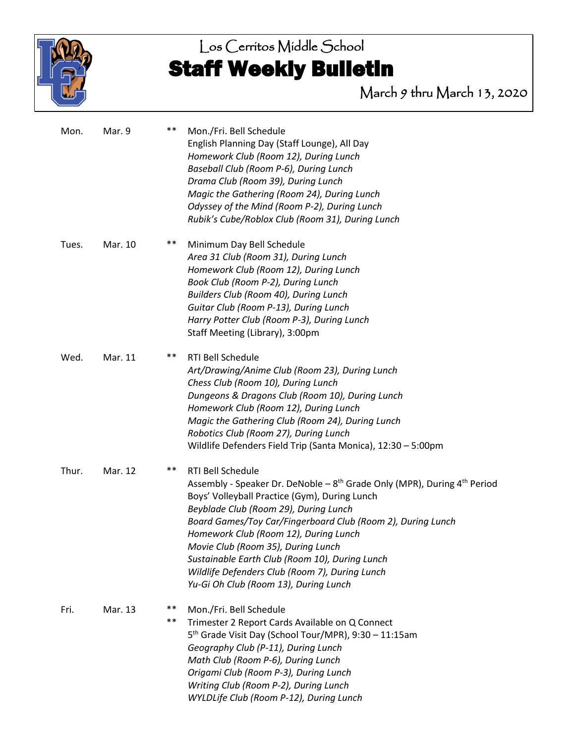

# Los Cerritos Middle School Staff Weekly Bulletin

March 9 thru March 13, 2020

| Mon.  | Mar. 9  | $***$       | Mon./Fri. Bell Schedule<br>English Planning Day (Staff Lounge), All Day<br>Homework Club (Room 12), During Lunch<br>Baseball Club (Room P-6), During Lunch<br>Drama Club (Room 39), During Lunch<br>Magic the Gathering (Room 24), During Lunch<br>Odyssey of the Mind (Room P-2), During Lunch<br>Rubik's Cube/Roblox Club (Room 31), During Lunch                                                                                                                                          |
|-------|---------|-------------|----------------------------------------------------------------------------------------------------------------------------------------------------------------------------------------------------------------------------------------------------------------------------------------------------------------------------------------------------------------------------------------------------------------------------------------------------------------------------------------------|
| Tues. | Mar. 10 | **          | Minimum Day Bell Schedule<br>Area 31 Club (Room 31), During Lunch<br>Homework Club (Room 12), During Lunch<br>Book Club (Room P-2), During Lunch<br>Builders Club (Room 40), During Lunch<br>Guitar Club (Room P-13), During Lunch<br>Harry Potter Club (Room P-3), During Lunch<br>Staff Meeting (Library), 3:00pm                                                                                                                                                                          |
| Wed.  | Mar. 11 | $***$       | RTI Bell Schedule<br>Art/Drawing/Anime Club (Room 23), During Lunch<br>Chess Club (Room 10), During Lunch<br>Dungeons & Dragons Club (Room 10), During Lunch<br>Homework Club (Room 12), During Lunch<br>Magic the Gathering Club (Room 24), During Lunch<br>Robotics Club (Room 27), During Lunch<br>Wildlife Defenders Field Trip (Santa Monica), 12:30 - 5:00pm                                                                                                                           |
| Thur. | Mar. 12 | **          | RTI Bell Schedule<br>Assembly - Speaker Dr. DeNoble - $8^{th}$ Grade Only (MPR), During $4^{th}$ Period<br>Boys' Volleyball Practice (Gym), During Lunch<br>Beyblade Club (Room 29), During Lunch<br>Board Games/Toy Car/Fingerboard Club (Room 2), During Lunch<br>Homework Club (Room 12), During Lunch<br>Movie Club (Room 35), During Lunch<br>Sustainable Earth Club (Room 10), During Lunch<br>Wildlife Defenders Club (Room 7), During Lunch<br>Yu-Gi Oh Club (Room 13), During Lunch |
| Fri.  | Mar. 13 | **<br>$***$ | Mon./Fri. Bell Schedule<br>Trimester 2 Report Cards Available on Q Connect<br>5 <sup>th</sup> Grade Visit Day (School Tour/MPR), 9:30 - 11:15am<br>Geography Club (P-11), During Lunch<br>Math Club (Room P-6), During Lunch<br>Origami Club (Room P-3), During Lunch<br>Writing Club (Room P-2), During Lunch<br>WYLDLife Club (Room P-12), During Lunch                                                                                                                                    |